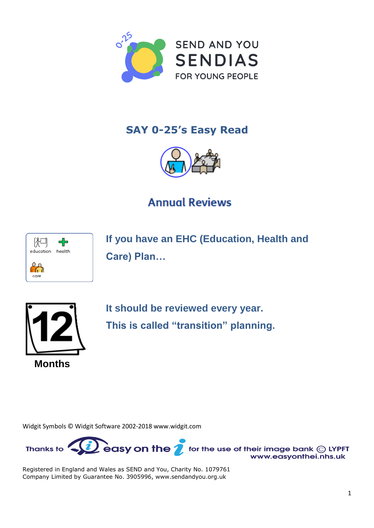

## **SAY 0-25's Easy Read**



## **Annual Reviews**



**If you have an EHC (Education, Health and Care) Plan…**



**It should be reviewed every year. This is called "transition" planning.**

Widgit Symbols © Widgit Software 2002-2018 [www.widgit.com](http://www.widgit.com) 

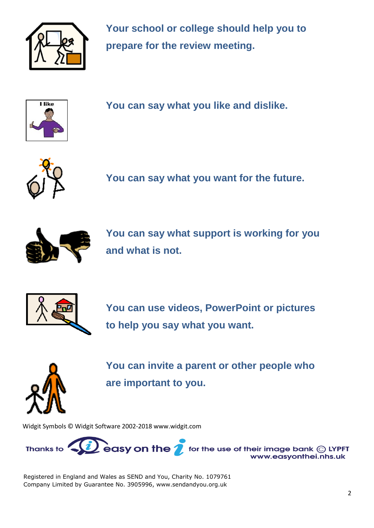

**Your school or college should help you to prepare for the review meeting.**



**You can say what you like and dislike.**



**You can say what you want for the future.**



**You can say what support is working for you and what is not.**



**You can use videos, PowerPoint or pictures to help you say what you want.**



**You can invite a parent or other people who are important to you.**

Widgit Symbols © Widgit Software 2002-2018 [www.widgit.com](http://www.widgit.com) 

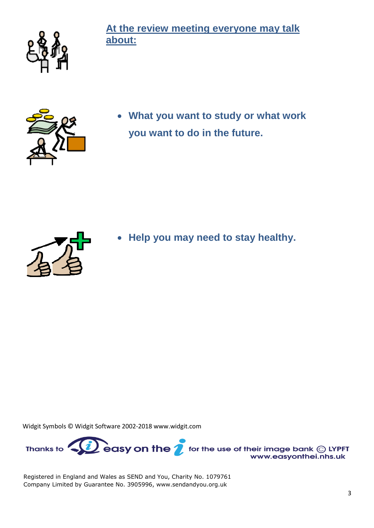

**At the review meeting everyone may talk about:**



 **What you want to study or what work you want to do in the future.**



**Help you may need to stay healthy.**

Widgit Symbols © Widgit Software 2002-2018 [www.widgit.com](http://www.widgit.com) 

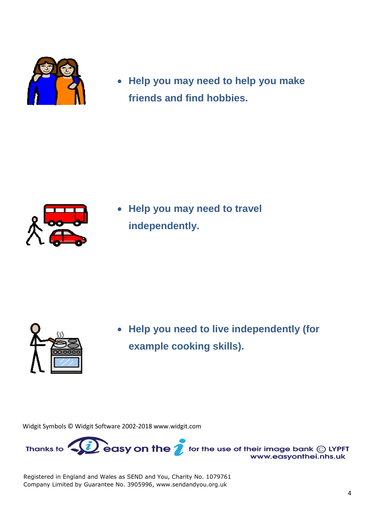

 **Help you may need to help you make friends and find hobbies.**



 **Help you may need to travel independently.**



 **Help you need to live independently (for example cooking skills).**

Widgit Symbols © Widgit Software 2002-2018 [www.widgit.com](http://www.widgit.com) 

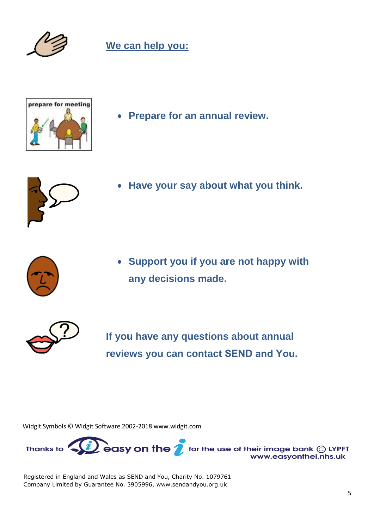

## **We can help you:**



**Prepare for an annual review.**



**Have your say about what you think.**



 **Support you if you are not happy with any decisions made.**



**If you have any questions about annual reviews you can contact SEND and You.** 

Widgit Symbols © Widgit Software 2002-2018 [www.widgit.com](http://www.widgit.com) 

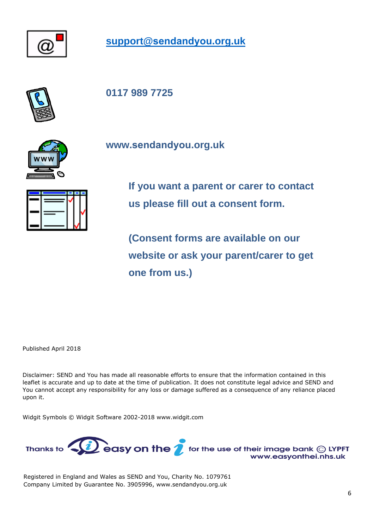

**support@[sendandyou](mailto:support@sendandyou.org.uk).org.uk**



**0117 989 7725**



**[www.](http://www.sendandyou.org.uk)[sendandyou](http://www.sendandyou.org.uk).[org.uk](http://www.sendandyou.org.uk)** 



**If you want a parent or carer to contact us please fill out a consent form.** 

**(Consent forms are available on our website or ask your parent/carer to get one from us.)**

Published April 2018

Disclaimer: SEND and You has made all reasonable efforts to ensure that the information contained in this leaflet is accurate and up to date at the time of publication. It does not constitute legal advice and SEND and You cannot accept any responsibility for any loss or damage suffered as a consequence of any reliance placed upon it.

Widgit Symbols © Widgit Software 2002-2018 [www.widgit.com](http://www.widgit.com)